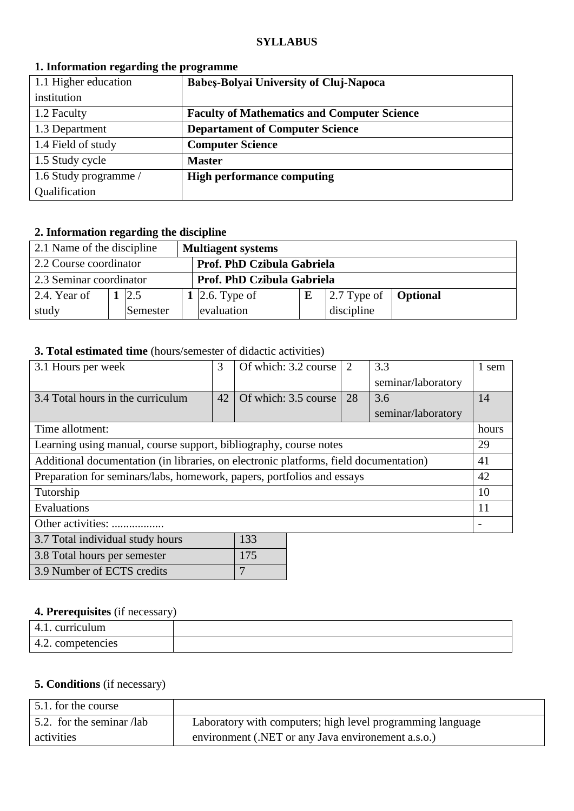#### **SYLLABUS**

| 1.1 Higher education  | <b>Babes-Bolyai University of Cluj-Napoca</b>      |
|-----------------------|----------------------------------------------------|
| institution           |                                                    |
| 1.2 Faculty           | <b>Faculty of Mathematics and Computer Science</b> |
| 1.3 Department        | <b>Departament of Computer Science</b>             |
| 1.4 Field of study    | <b>Computer Science</b>                            |
| 1.5 Study cycle       | <b>Master</b>                                      |
| 1.6 Study programme / | <b>High performance computing</b>                  |
| Qualification         |                                                    |

#### **1. Information regarding the programme**

## **2. Information regarding the discipline**

| 2.1 Name of the discipline |          | <b>Multiagent systems</b>  |   |                                             |  |
|----------------------------|----------|----------------------------|---|---------------------------------------------|--|
| 2.2 Course coordinator     |          | Prof. PhD Czibula Gabriela |   |                                             |  |
| 2.3 Seminar coordinator    |          | Prof. PhD Czibula Gabriela |   |                                             |  |
| $\vert$ 2.4. Year of       | 2.5      | 1 2.6. Type of             | E | $\vert$ 2.7 Type of $\vert$ <b>Optional</b> |  |
| study                      | Semester | evaluation                 |   | discipline                                  |  |

## **3. Total estimated time** (hours/semester of didactic activities)

| 3.1 Hours per week                                                                    | 3  | Of which: 3.2 course | $\overline{2}$ | 3.3                | 1 sem |
|---------------------------------------------------------------------------------------|----|----------------------|----------------|--------------------|-------|
|                                                                                       |    |                      |                | seminar/laboratory |       |
| 3.4 Total hours in the curriculum                                                     | 42 | Of which: 3.5 course | 28             | 3.6                | 14    |
|                                                                                       |    |                      |                | seminar/laboratory |       |
| Time allotment:                                                                       |    |                      |                |                    | hours |
| Learning using manual, course support, bibliography, course notes                     |    |                      |                |                    | 29    |
| Additional documentation (in libraries, on electronic platforms, field documentation) |    |                      |                |                    | 41    |
| Preparation for seminars/labs, homework, papers, portfolios and essays                |    |                      |                |                    | 42    |
| Tutorship                                                                             |    |                      |                |                    | 10    |
| Evaluations                                                                           |    |                      |                |                    | 11    |
| Other activities:                                                                     |    |                      |                |                    |       |
| 3.7 Total individual study hours                                                      |    | 133                  |                |                    |       |
| 3.8 Total hours per semester                                                          |    | 175                  |                |                    |       |

## **4. Prerequisites** (if necessary)

3.9 Number of ECTS credits 7

| $\cdots$ = = $\cdots$ = $\cdots$ = $\cdots$ $\cdots$ = $\cdots$ = $\cdots$ = $\cdots$ = $\cdots$ = $\cdots$ = $\cdots$ = $\cdots$ = $\cdots$ = $\cdots$ = $\cdots$ = $\cdots$ = $\cdots$ = $\cdots$ = $\cdots$ = $\cdots$ = $\cdots$ = $\cdots$ = $\cdots$ = $\cdots$ = $\cdots$ = $\cdots$ = $\cdots$ = $\cdots$ |  |  |  |  |
|-------------------------------------------------------------------------------------------------------------------------------------------------------------------------------------------------------------------------------------------------------------------------------------------------------------------|--|--|--|--|
| 4.1. curriculum                                                                                                                                                                                                                                                                                                   |  |  |  |  |
| 4.2. competencies                                                                                                                                                                                                                                                                                                 |  |  |  |  |

## **5. Conditions** (if necessary)

| 5.1. for the course       |                                                            |
|---------------------------|------------------------------------------------------------|
| 5.2. for the seminar /lab | Laboratory with computers; high level programming language |
| activities                | environment (.NET or any Java environment a.s.o.)          |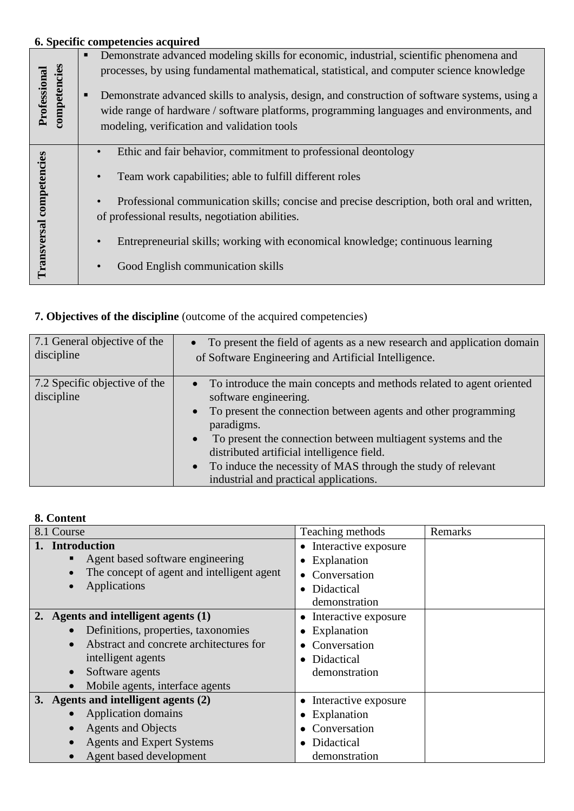# **6. Specific competencies acquired** Demonstrate advanced modeling skills for economic, industrial, scientific phenomena and **Professional competencies** processes, by using fundamental mathematical, statistical, and computer science knowledge **•** Demonstrate advanced skills to analysis, design, and construction of software systems, using a wide range of hardware / software platforms, programming languages and environments, and modeling, verification and validation tools • Ethic and fair behavior, commitment to professional deontology Transversal competencies **Transversal competencies** Team work capabilities; able to fulfill different roles • Professional communication skills; concise and precise description, both oral and written, of professional results, negotiation abilities. • Entrepreneurial skills; working with economical knowledge; continuous learning • Good English communication skills

## **7. Objectives of the discipline** (outcome of the acquired competencies)

| 7.1 General objective of the                | • To present the field of agents as a new research and application domain                                                                                                                                                                                                                                                                                                                                                         |
|---------------------------------------------|-----------------------------------------------------------------------------------------------------------------------------------------------------------------------------------------------------------------------------------------------------------------------------------------------------------------------------------------------------------------------------------------------------------------------------------|
| discipline                                  | of Software Engineering and Artificial Intelligence.                                                                                                                                                                                                                                                                                                                                                                              |
| 7.2 Specific objective of the<br>discipline | • To introduce the main concepts and methods related to agent oriented<br>software engineering.<br>To present the connection between agents and other programming<br>$\bullet$<br>paradigms.<br>To present the connection between multiagent systems and the<br>$\bullet$<br>distributed artificial intelligence field.<br>To induce the necessity of MAS through the study of relevant<br>industrial and practical applications. |

### **8. Content**

| 8.1 Course                                 | Teaching methods                  | Remarks |
|--------------------------------------------|-----------------------------------|---------|
| <b>Introduction</b>                        | Interactive exposure<br>$\bullet$ |         |
| Agent based software engineering           | Explanation                       |         |
| The concept of agent and intelligent agent | Conversation<br>$\bullet$         |         |
| Applications                               | Didactical<br>$\bullet$           |         |
|                                            | demonstration                     |         |
| 2. Agents and intelligent agents (1)       | Interactive exposure              |         |
| Definitions, properties, taxonomies        | Explanation                       |         |
| Abstract and concrete architectures for    | Conversation                      |         |
| intelligent agents                         | Didactical<br>$\bullet$           |         |
| Software agents                            | demonstration                     |         |
| Mobile agents, interface agents            |                                   |         |
| 3. Agents and intelligent agents (2)       | Interactive exposure              |         |
| Application domains                        | • Explanation                     |         |
| <b>Agents and Objects</b>                  | Conversation                      |         |
| <b>Agents and Expert Systems</b>           | Didactical                        |         |
| Agent based development                    | demonstration                     |         |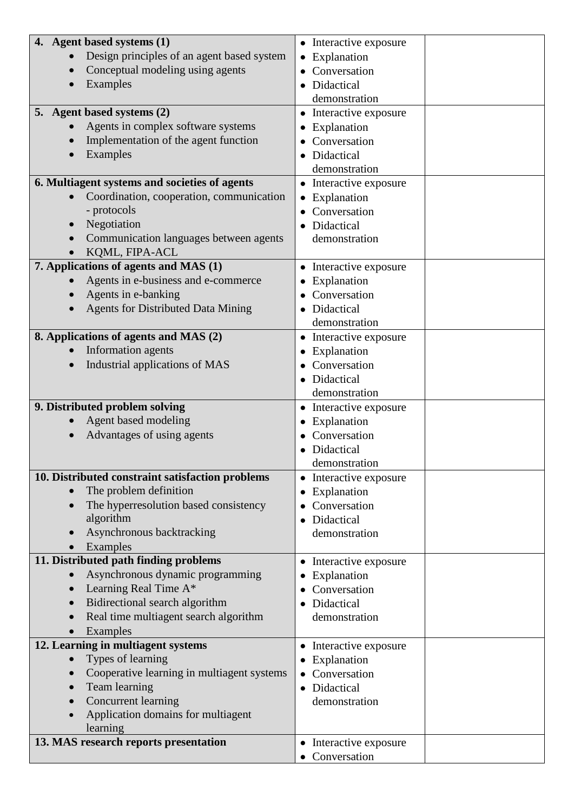| 4. Agent based systems (1)                            | • Interactive exposure    |
|-------------------------------------------------------|---------------------------|
| Design principles of an agent based system            | Explanation               |
| Conceptual modeling using agents                      | Conversation              |
| Examples                                              | Didactical                |
|                                                       |                           |
|                                                       | demonstration             |
| 5. Agent based systems (2)                            | Interactive exposure<br>٠ |
| Agents in complex software systems                    | Explanation               |
| Implementation of the agent function                  | Conversation              |
| Examples                                              | Didactical                |
|                                                       | demonstration             |
| 6. Multiagent systems and societies of agents         | Interactive exposure      |
| Coordination, cooperation, communication<br>$\bullet$ | Explanation               |
| - protocols                                           | Conversation              |
|                                                       |                           |
| Negotiation                                           | Didactical                |
| Communication languages between agents                | demonstration             |
| KQML, FIPA-ACL                                        |                           |
| 7. Applications of agents and MAS (1)                 | Interactive exposure<br>٠ |
| Agents in e-business and e-commerce                   | Explanation               |
| Agents in e-banking                                   | Conversation              |
| <b>Agents for Distributed Data Mining</b>             | Didactical                |
|                                                       | demonstration             |
| 8. Applications of agents and MAS (2)                 | • Interactive exposure    |
| Information agents                                    | Explanation               |
|                                                       |                           |
| Industrial applications of MAS                        | Conversation              |
|                                                       | Didactical                |
|                                                       | demonstration             |
| 9. Distributed problem solving                        | • Interactive exposure    |
| Agent based modeling                                  | Explanation               |
| Advantages of using agents                            | Conversation              |
|                                                       | Didactical                |
|                                                       | demonstration             |
| 10. Distributed constraint satisfaction problems      | Interactive exposure      |
| The problem definition<br>$\bullet$                   | Explanation<br>٠          |
| The hyperresolution based consistency                 | Conversation              |
| algorithm                                             |                           |
|                                                       | Didactical                |
| Asynchronous backtracking                             | demonstration             |
| Examples                                              |                           |
| 11. Distributed path finding problems                 | Interactive exposure<br>٠ |
| Asynchronous dynamic programming                      | Explanation               |
| Learning Real Time A*                                 | Conversation              |
| Bidirectional search algorithm                        | Didactical                |
| Real time multiagent search algorithm                 | demonstration             |
| Examples                                              |                           |
| 12. Learning in multiagent systems                    | Interactive exposure      |
| Types of learning                                     | Explanation               |
| Cooperative learning in multiagent systems            | Conversation              |
|                                                       |                           |
| Team learning                                         | Didactical<br>$\bullet$   |
| Concurrent learning                                   | demonstration             |
| Application domains for multiagent                    |                           |
| learning                                              |                           |
| 13. MAS research reports presentation                 | Interactive exposure<br>٠ |
|                                                       | Conversation              |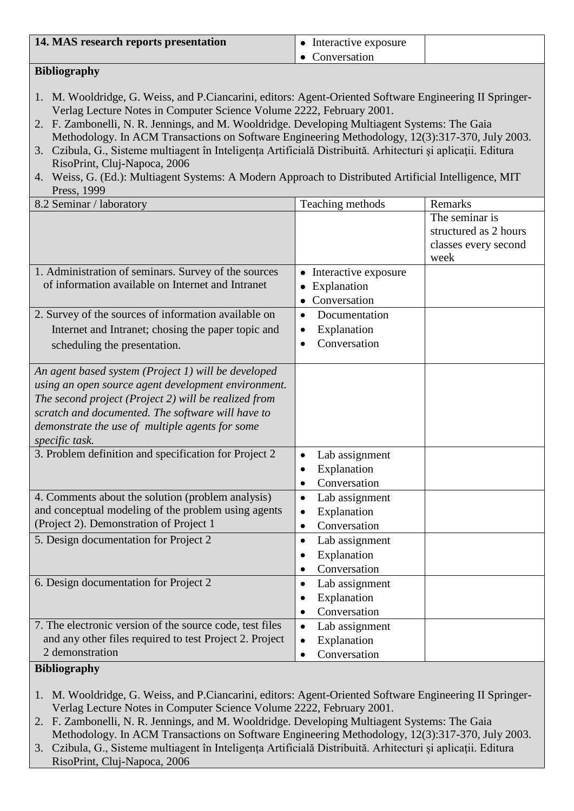### **Bibliography**

- 1. M. Wooldridge, G. Weiss, and P.Ciancarini, editors: Agent-Oriented Software Engineering II Springer-Verlag Lecture Notes in Computer Science Volume 2222, February 2001.
- 2. F. Zambonelli, N. R. Jennings, and M. Wooldridge. Developing Multiagent Systems: The Gaia Methodology. In ACM Transactions on Software Engineering Methodology, 12(3):317-370, July 2003.
- 3. Czibula, G., Sisteme multiagent în Inteligenţa Artificială Distribuită. Arhitecturi şi aplicaţii. Editura RisoPrint, Cluj-Napoca, 2006
- 4. Weiss, G. (Ed.): Multiagent Systems: A Modern Approach to Distributed Artificial Intelligence, MIT Press, 1999

| 8.2 Seminar / laboratory                                 | Teaching methods            | Remarks               |
|----------------------------------------------------------|-----------------------------|-----------------------|
|                                                          |                             | The seminar is        |
|                                                          |                             | structured as 2 hours |
|                                                          |                             | classes every second  |
|                                                          |                             | week                  |
| 1. Administration of seminars. Survey of the sources     | Interactive exposure        |                       |
| of information available on Internet and Intranet        | Explanation                 |                       |
|                                                          | Conversation                |                       |
| 2. Survey of the sources of information available on     | Documentation<br>$\bullet$  |                       |
| Internet and Intranet; chosing the paper topic and       | Explanation                 |                       |
| scheduling the presentation.                             | Conversation                |                       |
|                                                          |                             |                       |
| An agent based system (Project 1) will be developed      |                             |                       |
| using an open source agent development environment.      |                             |                       |
| The second project (Project 2) will be realized from     |                             |                       |
| scratch and documented. The software will have to        |                             |                       |
| demonstrate the use of multiple agents for some          |                             |                       |
| specific task.                                           |                             |                       |
| 3. Problem definition and specification for Project 2    | Lab assignment              |                       |
|                                                          | Explanation<br>$\bullet$    |                       |
|                                                          | Conversation<br>$\bullet$   |                       |
| 4. Comments about the solution (problem analysis)        | Lab assignment<br>$\bullet$ |                       |
| and conceptual modeling of the problem using agents      | Explanation<br>$\bullet$    |                       |
| (Project 2). Demonstration of Project 1                  | Conversation<br>$\bullet$   |                       |
| 5. Design documentation for Project 2                    | Lab assignment<br>$\bullet$ |                       |
|                                                          | Explanation                 |                       |
|                                                          | Conversation<br>$\bullet$   |                       |
| 6. Design documentation for Project 2                    | Lab assignment<br>$\bullet$ |                       |
|                                                          | Explanation                 |                       |
|                                                          | Conversation<br>$\bullet$   |                       |
| 7. The electronic version of the source code, test files | Lab assignment<br>$\bullet$ |                       |
| and any other files required to test Project 2. Project  | Explanation                 |                       |
| 2 demonstration                                          | Conversation                |                       |
|                                                          |                             |                       |

### **Bibliography**

- 1. M. Wooldridge, G. Weiss, and P.Ciancarini, editors: Agent-Oriented Software Engineering II Springer-Verlag Lecture Notes in Computer Science Volume 2222, February 2001.
- 2. F. Zambonelli, N. R. Jennings, and M. Wooldridge. Developing Multiagent Systems: The Gaia Methodology. In ACM Transactions on Software Engineering Methodology, 12(3):317-370, July 2003.
- 3. Czibula, G., Sisteme multiagent în Inteligenţa Artificială Distribuită. Arhitecturi şi aplicaţii. Editura RisoPrint, Cluj-Napoca, 2006